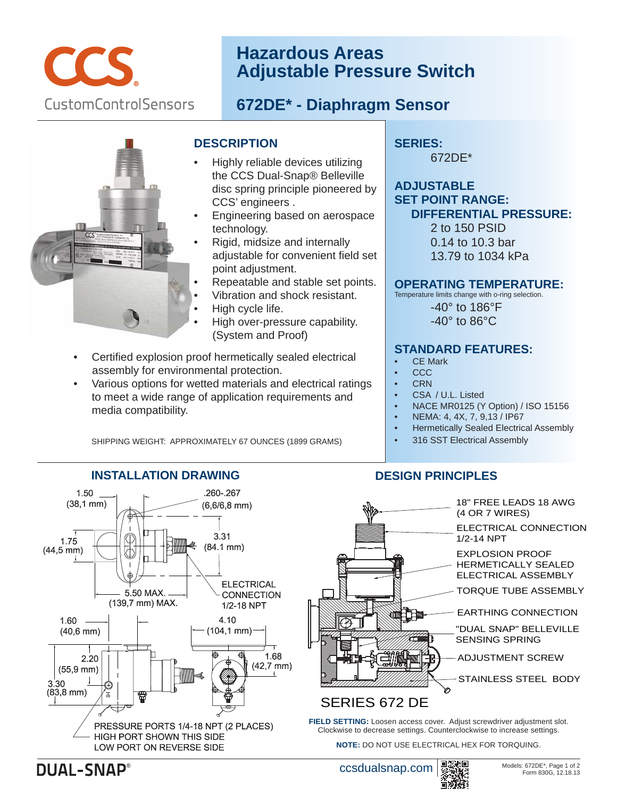

# **Hazardous Areas Adjustable Pressure Switch**

## **672DE\* - Diaphragm Sensor**



### **DESCRIPTION**

- Highly reliable devices utilizing the CCS Dual-Snap® Belleville disc spring principle pioneered by CCS' engineers .
- Engineering based on aerospace technology.
- Rigid, midsize and internally adjustable for convenient field set point adjustment.
- Repeatable and stable set points.
- Vibration and shock resistant.
- High cycle life.
- High over-pressure capability. (System and Proof)
- Certified explosion proof hermetically sealed electrical assembly for environmental protection.
- Various options for wetted materials and electrical ratings to meet a wide range of application requirements and media compatibility.

SHIPPING WEIGHT: APPROXIMATELY 67 OUNCES (1899 GRAMS)

#### **SERIES:**  672DE\*

## **ADJUSTABLE SET POINT RANGE: DIFFERENTIAL PRESSURE:**

 2 to 150 PSID 0.14 to 10.3 bar 13.79 to 1034 kPa

#### **OPERATING TEMPERATURE:**

Temperature limits change with o-ring selection. -40° to 186°F -40° to 86°C

#### **STANDARD FEATURES:**

- **CE Mark**
- CCC
- **CRN**
- CSA / U.L. Listed
- NACE MR0125 (Y Option) / ISO 15156
- NEMA: 4, 4X, 7, 9,13 / IP67
- Hermetically Sealed Electrical Assembly
- 316 SST Electrical Assembly

## **INSTALLATION DRAWING**



## **DESIGN PRINCIPLES**



Clockwise to decrease settings. Counterclockwise to increase settings. **NOTE:** DO NOT USE ELECTRICAL HEX FOR TORQUING.

**DUAL-SNAP®**